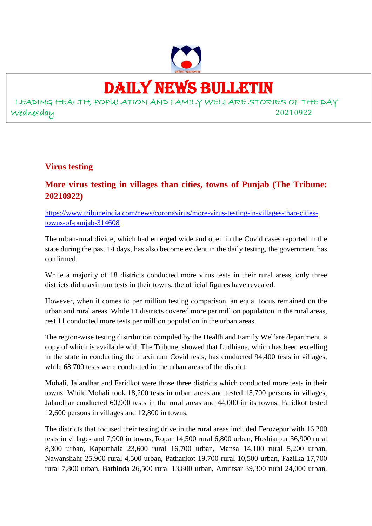

## DAILY NEWS BULLETIN

LEADING HEALTH, POPULATION AND FAMILY WELFARE STORIES OF THE DAY Wednesday 20210922

#### **Virus testing**

#### **More virus testing in villages than cities, towns of Punjab (The Tribune: 20210922)**

https://www.tribuneindia.com/news/coronavirus/more-virus-testing-in-villages-than-citiestowns-of-punjab-314608

The urban-rural divide, which had emerged wide and open in the Covid cases reported in the state during the past 14 days, has also become evident in the daily testing, the government has confirmed.

While a majority of 18 districts conducted more virus tests in their rural areas, only three districts did maximum tests in their towns, the official figures have revealed.

However, when it comes to per million testing comparison, an equal focus remained on the urban and rural areas. While 11 districts covered more per million population in the rural areas, rest 11 conducted more tests per million population in the urban areas.

The region-wise testing distribution compiled by the Health and Family Welfare department, a copy of which is available with The Tribune, showed that Ludhiana, which has been excelling in the state in conducting the maximum Covid tests, has conducted 94,400 tests in villages, while 68,700 tests were conducted in the urban areas of the district.

Mohali, Jalandhar and Faridkot were those three districts which conducted more tests in their towns. While Mohali took 18,200 tests in urban areas and tested 15,700 persons in villages, Jalandhar conducted 60,900 tests in the rural areas and 44,000 in its towns. Faridkot tested 12,600 persons in villages and 12,800 in towns.

The districts that focused their testing drive in the rural areas included Ferozepur with 16,200 tests in villages and 7,900 in towns, Ropar 14,500 rural 6,800 urban, Hoshiarpur 36,900 rural 8,300 urban, Kapurthala 23,600 rural 16,700 urban, Mansa 14,100 rural 5,200 urban, Nawanshahr 25,900 rural 4,500 urban, Pathankot 19,700 rural 10,500 urban, Fazilka 17,700 rural 7,800 urban, Bathinda 26,500 rural 13,800 urban, Amritsar 39,300 rural 24,000 urban,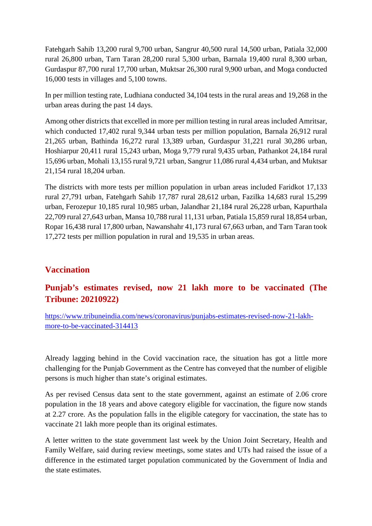Fatehgarh Sahib 13,200 rural 9,700 urban, Sangrur 40,500 rural 14,500 urban, Patiala 32,000 rural 26,800 urban, Tarn Taran 28,200 rural 5,300 urban, Barnala 19,400 rural 8,300 urban, Gurdaspur 87,700 rural 17,700 urban, Muktsar 26,300 rural 9,900 urban, and Moga conducted 16,000 tests in villages and 5,100 towns.

In per million testing rate, Ludhiana conducted 34,104 tests in the rural areas and 19,268 in the urban areas during the past 14 days.

Among other districts that excelled in more per million testing in rural areas included Amritsar, which conducted 17,402 rural 9,344 urban tests per million population, Barnala 26,912 rural 21,265 urban, Bathinda 16,272 rural 13,389 urban, Gurdaspur 31,221 rural 30,286 urban, Hoshiarpur 20,411 rural 15,243 urban, Moga 9,779 rural 9,435 urban, Pathankot 24,184 rural 15,696 urban, Mohali 13,155 rural 9,721 urban, Sangrur 11,086 rural 4,434 urban, and Muktsar 21,154 rural 18,204 urban.

The districts with more tests per million population in urban areas included Faridkot 17,133 rural 27,791 urban, Fatehgarh Sahib 17,787 rural 28,612 urban, Fazilka 14,683 rural 15,299 urban, Ferozepur 10,185 rural 10,985 urban, Jalandhar 21,184 rural 26,228 urban, Kapurthala 22,709 rural 27,643 urban, Mansa 10,788 rural 11,131 urban, Patiala 15,859 rural 18,854 urban, Ropar 16,438 rural 17,800 urban, Nawanshahr 41,173 rural 67,663 urban, and Tarn Taran took 17,272 tests per million population in rural and 19,535 in urban areas.

#### **Vaccination**

## **Punjab's estimates revised, now 21 lakh more to be vaccinated (The Tribune: 20210922)**

https://www.tribuneindia.com/news/coronavirus/punjabs-estimates-revised-now-21-lakhmore-to-be-vaccinated-314413

Already lagging behind in the Covid vaccination race, the situation has got a little more challenging for the Punjab Government as the Centre has conveyed that the number of eligible persons is much higher than state's original estimates.

As per revised Census data sent to the state government, against an estimate of 2.06 crore population in the 18 years and above category eligible for vaccination, the figure now stands at 2.27 crore. As the population falls in the eligible category for vaccination, the state has to vaccinate 21 lakh more people than its original estimates.

A letter written to the state government last week by the Union Joint Secretary, Health and Family Welfare, said during review meetings, some states and UTs had raised the issue of a difference in the estimated target population communicated by the Government of India and the state estimates.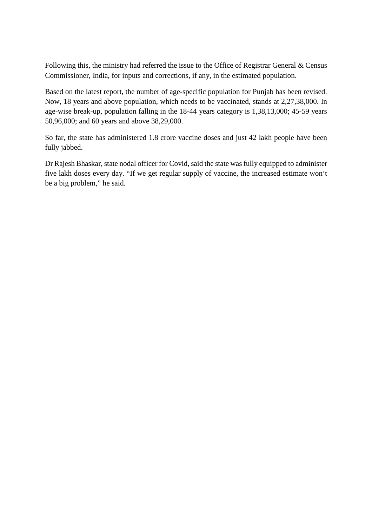Following this, the ministry had referred the issue to the Office of Registrar General & Census Commissioner, India, for inputs and corrections, if any, in the estimated population.

Based on the latest report, the number of age-specific population for Punjab has been revised. Now, 18 years and above population, which needs to be vaccinated, stands at 2,27,38,000. In age-wise break-up, population falling in the 18-44 years category is 1,38,13,000; 45-59 years 50,96,000; and 60 years and above 38,29,000.

So far, the state has administered 1.8 crore vaccine doses and just 42 lakh people have been fully jabbed.

Dr Rajesh Bhaskar, state nodal officer for Covid, said the state was fully equipped to administer five lakh doses every day. "If we get regular supply of vaccine, the increased estimate won't be a big problem," he said.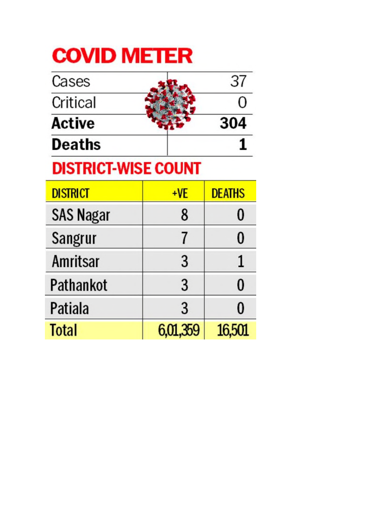# **COVID METER**

| <b>Active</b> | 304 |
|---------------|-----|
| <b>Deaths</b> |     |

# **DISTRICI-WISE COUNT**

| <b>DISTRICT</b>  | +VE      | <b>DEATHS</b> |
|------------------|----------|---------------|
| <b>SAS Nagar</b> | 8        |               |
| <b>Sangrur</b>   |          |               |
| <b>Amritsar</b>  | 3        | 1             |
| Pathankot        | 3        | 0             |
| Patiala          | 3        |               |
| <b>Total</b>     | 6,01,359 | 16,501        |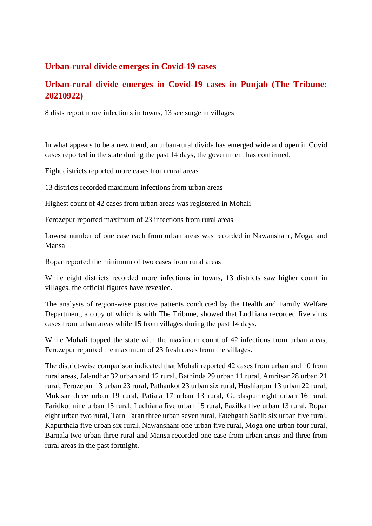#### **Urban-rural divide emerges in Covid-19 cases**

#### **Urban-rural divide emerges in Covid-19 cases in Punjab (The Tribune: 20210922)**

8 dists report more infections in towns, 13 see surge in villages

In what appears to be a new trend, an urban-rural divide has emerged wide and open in Covid cases reported in the state during the past 14 days, the government has confirmed.

Eight districts reported more cases from rural areas

13 districts recorded maximum infections from urban areas

Highest count of 42 cases from urban areas was registered in Mohali

Ferozepur reported maximum of 23 infections from rural areas

Lowest number of one case each from urban areas was recorded in Nawanshahr, Moga, and Mansa

Ropar reported the minimum of two cases from rural areas

While eight districts recorded more infections in towns, 13 districts saw higher count in villages, the official figures have revealed.

The analysis of region-wise positive patients conducted by the Health and Family Welfare Department, a copy of which is with The Tribune, showed that Ludhiana recorded five virus cases from urban areas while 15 from villages during the past 14 days.

While Mohali topped the state with the maximum count of 42 infections from urban areas, Ferozepur reported the maximum of 23 fresh cases from the villages.

The district-wise comparison indicated that Mohali reported 42 cases from urban and 10 from rural areas, Jalandhar 32 urban and 12 rural, Bathinda 29 urban 11 rural, Amritsar 28 urban 21 rural, Ferozepur 13 urban 23 rural, Pathankot 23 urban six rural, Hoshiarpur 13 urban 22 rural, Muktsar three urban 19 rural, Patiala 17 urban 13 rural, Gurdaspur eight urban 16 rural, Faridkot nine urban 15 rural, Ludhiana five urban 15 rural, Fazilka five urban 13 rural, Ropar eight urban two rural, Tarn Taran three urban seven rural, Fatehgarh Sahib six urban five rural, Kapurthala five urban six rural, Nawanshahr one urban five rural, Moga one urban four rural, Barnala two urban three rural and Mansa recorded one case from urban areas and three from rural areas in the past fortnight.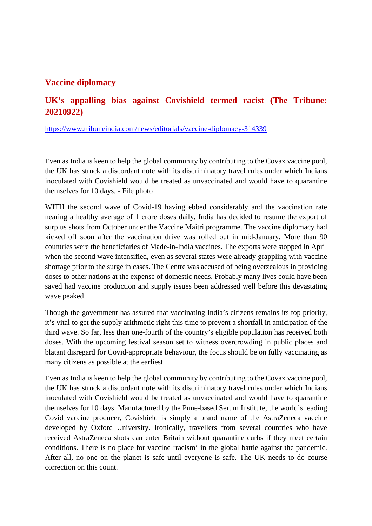#### **Vaccine diplomacy**

#### **UK's appalling bias against Covishield termed racist (The Tribune: 20210922)**

https://www.tribuneindia.com/news/editorials/vaccine-diplomacy-314339

Even as India is keen to help the global community by contributing to the Covax vaccine pool, the UK has struck a discordant note with its discriminatory travel rules under which Indians inoculated with Covishield would be treated as unvaccinated and would have to quarantine themselves for 10 days. - File photo

WITH the second wave of Covid-19 having ebbed considerably and the vaccination rate nearing a healthy average of 1 crore doses daily, India has decided to resume the export of surplus shots from October under the Vaccine Maitri programme. The vaccine diplomacy had kicked off soon after the vaccination drive was rolled out in mid-January. More than 90 countries were the beneficiaries of Made-in-India vaccines. The exports were stopped in April when the second wave intensified, even as several states were already grappling with vaccine shortage prior to the surge in cases. The Centre was accused of being overzealous in providing doses to other nations at the expense of domestic needs. Probably many lives could have been saved had vaccine production and supply issues been addressed well before this devastating wave peaked.

Though the government has assured that vaccinating India's citizens remains its top priority, it's vital to get the supply arithmetic right this time to prevent a shortfall in anticipation of the third wave. So far, less than one-fourth of the country's eligible population has received both doses. With the upcoming festival season set to witness overcrowding in public places and blatant disregard for Covid-appropriate behaviour, the focus should be on fully vaccinating as many citizens as possible at the earliest.

Even as India is keen to help the global community by contributing to the Covax vaccine pool, the UK has struck a discordant note with its discriminatory travel rules under which Indians inoculated with Covishield would be treated as unvaccinated and would have to quarantine themselves for 10 days. Manufactured by the Pune-based Serum Institute, the world's leading Covid vaccine producer, Covishield is simply a brand name of the AstraZeneca vaccine developed by Oxford University. Ironically, travellers from several countries who have received AstraZeneca shots can enter Britain without quarantine curbs if they meet certain conditions. There is no place for vaccine 'racism' in the global battle against the pandemic. After all, no one on the planet is safe until everyone is safe. The UK needs to do course correction on this count.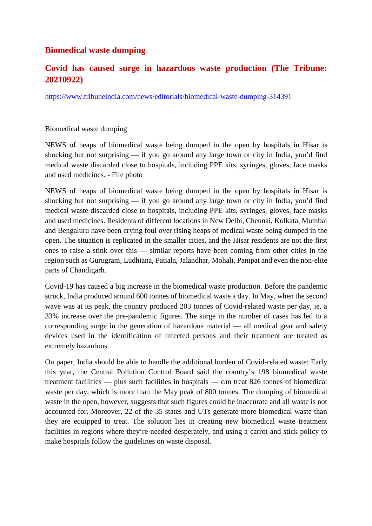#### **Biomedical waste dumping**

#### **Covid has caused surge in hazardous waste production (The Tribune: 20210922)**

https://www.tribuneindia.com/news/editorials/biomedical-waste-dumping-314391

#### Biomedical waste dumping

NEWS of heaps of biomedical waste being dumped in the open by hospitals in Hisar is shocking but not surprising — if you go around any large town or city in India, you'd find medical waste discarded close to hospitals, including PPE kits, syringes, gloves, face masks and used medicines. - File photo

NEWS of heaps of biomedical waste being dumped in the open by hospitals in Hisar is shocking but not surprising — if you go around any large town or city in India, you'd find medical waste discarded close to hospitals, including PPE kits, syringes, gloves, face masks and used medicines. Residents of different locations in New Delhi, Chennai, Kolkata, Mumbai and Bengaluru have been crying foul over rising heaps of medical waste being dumped in the open. The situation is replicated in the smaller cities, and the Hisar residents are not the first ones to raise a stink over this — similar reports have been coming from other cities in the region such as Gurugram, Ludhiana, Patiala, Jalandhar, Mohali, Panipat and even the non-elite parts of Chandigarh.

Covid-19 has caused a big increase in the biomedical waste production. Before the pandemic struck, India produced around 600 tonnes of biomedical waste a day. In May, when the second wave was at its peak, the country produced 203 tonnes of Covid-related waste per day, ie, a 33% increase over the pre-pandemic figures. The surge in the number of cases has led to a corresponding surge in the generation of hazardous material — all medical gear and safety devices used in the identification of infected persons and their treatment are treated as extremely hazardous.

On paper, India should be able to handle the additional burden of Covid-related waste: Early this year, the Central Pollution Control Board said the country's 198 biomedical waste treatment facilities — plus such facilities in hospitals — can treat 826 tonnes of biomedical waste per day, which is more than the May peak of 800 tonnes. The dumping of biomedical waste in the open, however, suggests that such figures could be inaccurate and all waste is not accounted for. Moreover, 22 of the 35 states and UTs generate more biomedical waste than they are equipped to treat. The solution lies in creating new biomedical waste treatment facilities in regions where they're needed desperately, and using a carrot-and-stick policy to make hospitals follow the guidelines on waste disposal.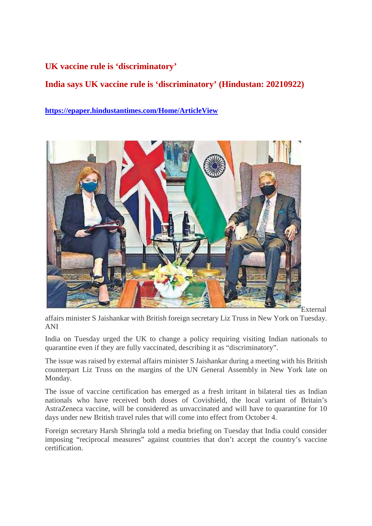#### **UK vaccine rule is 'discriminatory'**

#### **India says UK vaccine rule is 'discriminatory' (Hindustan: 20210922)**

**https://epaper.hindustantimes.com/Home/ArticleView**



External

affairs minister S Jaishankar with British foreign secretary Liz Truss in New York on Tuesday. ANI

India on Tuesday urged the UK to change a policy requiring visiting Indian nationals to quarantine even if they are fully vaccinated, describing it as "discriminatory".

The issue was raised by external affairs minister S Jaishankar during a meeting with his British counterpart Liz Truss on the margins of the UN General Assembly in New York late on Monday.

The issue of vaccine certification has emerged as a fresh irritant in bilateral ties as Indian nationals who have received both doses of Covishield, the local variant of Britain's AstraZeneca vaccine, will be considered as unvaccinated and will have to quarantine for 10 days under new British travel rules that will come into effect from October 4.

Foreign secretary Harsh Shringla told a media briefing on Tuesday that India could consider imposing "reciprocal measures" against countries that don't accept the country's vaccine certification.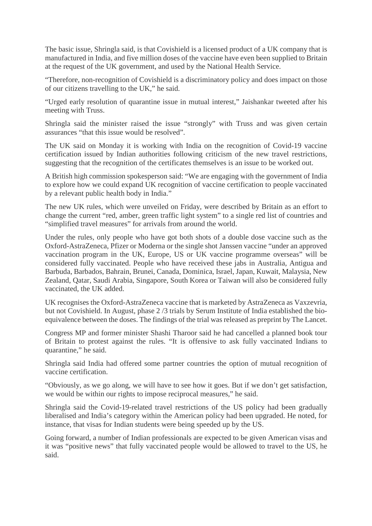The basic issue, Shringla said, is that Covishield is a licensed product of a UK company that is manufactured in India, and five million doses of the vaccine have even been supplied to Britain at the request of the UK government, and used by the National Health Service.

"Therefore, non-recognition of Covishield is a discriminatory policy and does impact on those of our citizens travelling to the UK," he said.

"Urged early resolution of quarantine issue in mutual interest," Jaishankar tweeted after his meeting with Truss.

Shringla said the minister raised the issue "strongly" with Truss and was given certain assurances "that this issue would be resolved".

The UK said on Monday it is working with India on the recognition of Covid-19 vaccine certification issued by Indian authorities following criticism of the new travel restrictions, suggesting that the recognition of the certificates themselves is an issue to be worked out.

A British high commission spokesperson said: "We are engaging with the government of India to explore how we could expand UK recognition of vaccine certification to people vaccinated by a relevant public health body in India."

The new UK rules, which were unveiled on Friday, were described by Britain as an effort to change the current "red, amber, green traffic light system" to a single red list of countries and "simplified travel measures" for arrivals from around the world.

Under the rules, only people who have got both shots of a double dose vaccine such as the Oxford-AstraZeneca, Pfizer or Moderna or the single shot Janssen vaccine "under an approved vaccination program in the UK, Europe, US or UK vaccine programme overseas" will be considered fully vaccinated. People who have received these jabs in Australia, Antigua and Barbuda, Barbados, Bahrain, Brunei, Canada, Dominica, Israel, Japan, Kuwait, Malaysia, New Zealand, Qatar, Saudi Arabia, Singapore, South Korea or Taiwan will also be considered fully vaccinated, the UK added.

UK recognises the Oxford-AstraZeneca vaccine that is marketed by AstraZeneca as Vaxzevria, but not Covishield. In August, phase 2 /3 trials by Serum Institute of India established the bioequivalence between the doses. The findings of the trial was released as preprint by The Lancet.

Congress MP and former minister Shashi Tharoor said he had cancelled a planned book tour of Britain to protest against the rules. "It is offensive to ask fully vaccinated Indians to quarantine," he said.

Shringla said India had offered some partner countries the option of mutual recognition of vaccine certification.

"Obviously, as we go along, we will have to see how it goes. But if we don't get satisfaction, we would be within our rights to impose reciprocal measures," he said.

Shringla said the Covid-19-related travel restrictions of the US policy had been gradually liberalised and India's category within the American policy had been upgraded. He noted, for instance, that visas for Indian students were being speeded up by the US.

Going forward, a number of Indian professionals are expected to be given American visas and it was "positive news" that fully vaccinated people would be allowed to travel to the US, he said.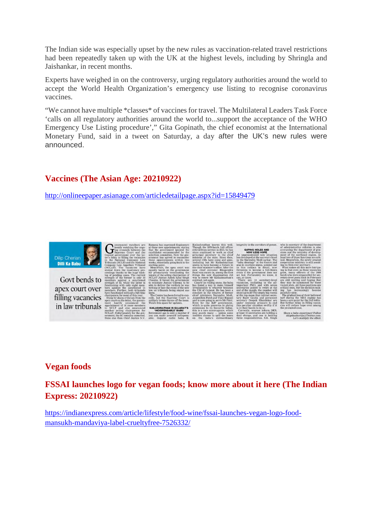The Indian side was especially upset by the new rules as vaccination-related travel restrictions had been repeatedly taken up with the UK at the highest levels, including by Shringla and Jaishankar, in recent months.

Experts have weighed in on the controversy, urging regulatory authorities around the world to accept the World Health Organization's emergency use listing to recognise coronavirus vaccines.

"We cannot have multiple \*classes\* of vaccines for travel. The Multilateral Leaders Task Force 'calls on all regulatory authorities around the world to...support the acceptance of the WHO Emergency Use Listing procedure'," Gita Gopinath, the chief economist at the International Monetary Fund, said in a tweet on Saturday, a day after the UK's new rules were announced.

#### **Vaccines (The Asian Age: 20210922)**

http://onlineepaper.asianage.com/articledetailpage.aspx?id=15849479



Govt bends to apex court over filling vacancies in law tribunals

#### **Vegan foods**

#### **FSSAI launches logo for vegan foods; know more about it here (The Indian Express: 20210922)**

https://indianexpress.com/article/lifestyle/food-wine/fssai-launches-vegan-logo-foodmansukh-mandaviya-label-crueltyfree-7526332/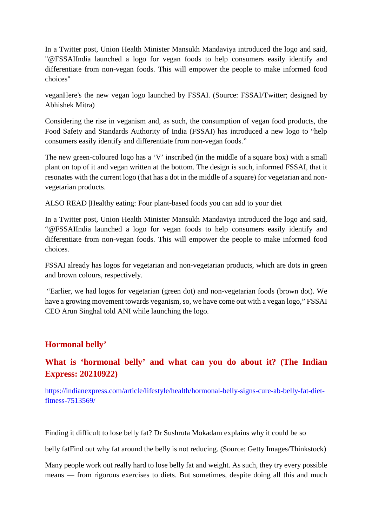In a Twitter post, Union Health Minister Mansukh Mandaviya introduced the logo and said, "@FSSAIIndia launched a logo for vegan foods to help consumers easily identify and differentiate from non-vegan foods. This will empower the people to make informed food choices"

veganHere's the new vegan logo launched by FSSAI. (Source: FSSAI/Twitter; designed by Abhishek Mitra)

Considering the rise in veganism and, as such, the consumption of vegan food products, the Food Safety and Standards Authority of India (FSSAI) has introduced a new logo to "help consumers easily identify and differentiate from non-vegan foods."

The new green-coloured logo has a 'V' inscribed (in the middle of a square box) with a small plant on top of it and vegan written at the bottom. The design is such, informed FSSAI, that it resonates with the current logo (that has a dot in the middle of a square) for vegetarian and nonvegetarian products.

ALSO READ |Healthy eating: Four plant-based foods you can add to your diet

In a Twitter post, Union Health Minister Mansukh Mandaviya introduced the logo and said, "@FSSAIIndia launched a logo for vegan foods to help consumers easily identify and differentiate from non-vegan foods. This will empower the people to make informed food choices.

FSSAI already has logos for vegetarian and non-vegetarian products, which are dots in green and brown colours, respectively.

"Earlier, we had logos for vegetarian (green dot) and non-vegetarian foods (brown dot). We have a growing movement towards veganism, so, we have come out with a vegan logo," FSSAI CEO Arun Singhal told ANI while launching the logo.

#### **Hormonal belly'**

#### **What is 'hormonal belly' and what can you do about it? (The Indian Express: 20210922)**

https://indianexpress.com/article/lifestyle/health/hormonal-belly-signs-cure-ab-belly-fat-dietfitness-7513569/

Finding it difficult to lose belly fat? Dr Sushruta Mokadam explains why it could be so

belly fatFind out why fat around the belly is not reducing. (Source: Getty Images/Thinkstock)

Many people work out really hard to lose belly fat and weight. As such, they try every possible means — from rigorous exercises to diets. But sometimes, despite doing all this and much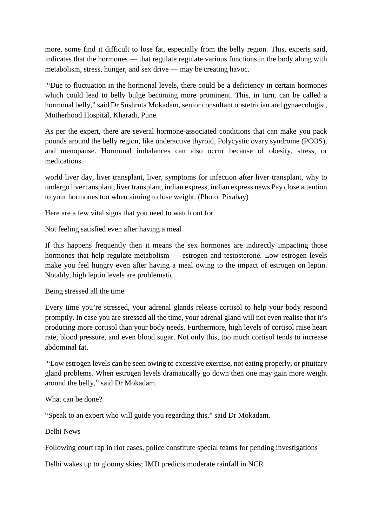more, some find it difficult to lose fat, especially from the belly region. This, experts said, indicates that the hormones — that regulate regulate various functions in the body along with metabolism, stress, hunger, and sex drive — may be creating havoc.

"Due to fluctuation in the hormonal levels, there could be a deficiency in certain hormones which could lead to belly bulge becoming more prominent. This, in turn, can be called a hormonal belly," said Dr Sushruta Mokadam, senior consultant obstetrician and gynaecologist, Motherhood Hospital, Kharadi, Pune.

As per the expert, there are several hormone-associated conditions that can make you pack pounds around the belly region, like underactive thyroid, Polycystic ovary syndrome (PCOS), and menopause. Hormonal imbalances can also occur because of obesity, stress, or medications.

world liver day, liver transplant, liver, symptoms for infection after liver transplant, why to undergo liver tansplant, liver transplant, indian express, indian express news Pay close attention to your hormones too when aiming to lose weight. (Photo: Pixabay)

Here are a few vital signs that you need to watch out for

Not feeling satisfied even after having a meal

If this happens frequently then it means the sex hormones are indirectly impacting those hormones that help regulate metabolism — estrogen and testosterone. Low estrogen levels make you feel hungry even after having a meal owing to the impact of estrogen on leptin. Notably, high leptin levels are problematic.

Being stressed all the time

Every time you're stressed, your adrenal glands release cortisol to help your body respond promptly. In case you are stressed all the time, your adrenal gland will not even realise that it's producing more cortisol than your body needs. Furthermore, high levels of cortisol raise heart rate, blood pressure, and even blood sugar. Not only this, too much cortisol tends to increase abdominal fat.

"Low estrogen levels can be seen owing to excessive exercise, not eating properly, or pituitary gland problems. When estrogen levels dramatically go down then one may gain more weight around the belly," said Dr Mokadam.

What can be done?

"Speak to an expert who will guide you regarding this," said Dr Mokadam.

Delhi News

Following court rap in riot cases, police constitute special teams for pending investigations

Delhi wakes up to gloomy skies; IMD predicts moderate rainfall in NCR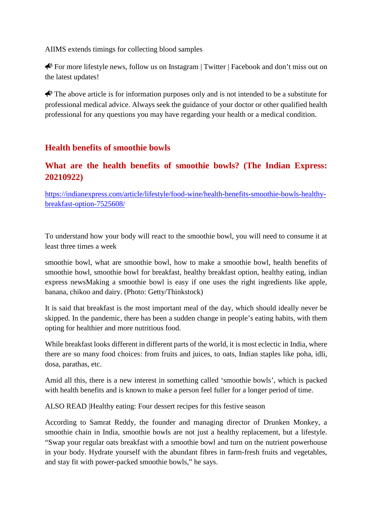AIIMS extends timings for collecting blood samples

For more lifestyle news, follow us on Instagram | Twitter | Facebook and don't miss out on the latest updates!

 $\bigotimes$  The above article is for information purposes only and is not intended to be a substitute for professional medical advice. Always seek the guidance of your doctor or other qualified health professional for any questions you may have regarding your health or a medical condition.

#### **Health benefits of smoothie bowls**

#### **What are the health benefits of smoothie bowls? (The Indian Express: 20210922)**

https://indianexpress.com/article/lifestyle/food-wine/health-benefits-smoothie-bowls-healthybreakfast-option-7525608/

To understand how your body will react to the smoothie bowl, you will need to consume it at least three times a week

smoothie bowl, what are smoothie bowl, how to make a smoothie bowl, health benefits of smoothie bowl, smoothie bowl for breakfast, healthy breakfast option, healthy eating, indian express newsMaking a smoothie bowl is easy if one uses the right ingredients like apple, banana, chikoo and dairy. (Photo: Getty/Thinkstock)

It is said that breakfast is the most important meal of the day, which should ideally never be skipped. In the pandemic, there has been a sudden change in people's eating habits, with them opting for healthier and more nutritious food.

While breakfast looks different in different parts of the world, it is most eclectic in India, where there are so many food choices: from fruits and juices, to oats, Indian staples like poha, idli, dosa, parathas, etc.

Amid all this, there is a new interest in something called 'smoothie bowls', which is packed with health benefits and is known to make a person feel fuller for a longer period of time.

ALSO READ |Healthy eating: Four dessert recipes for this festive season

According to Samrat Reddy, the founder and managing director of Drunken Monkey, a smoothie chain in India, smoothie bowls are not just a healthy replacement, but a lifestyle. "Swap your regular oats breakfast with a smoothie bowl and turn on the nutrient powerhouse in your body. Hydrate yourself with the abundant fibres in farm-fresh fruits and vegetables, and stay fit with power-packed smoothie bowls," he says.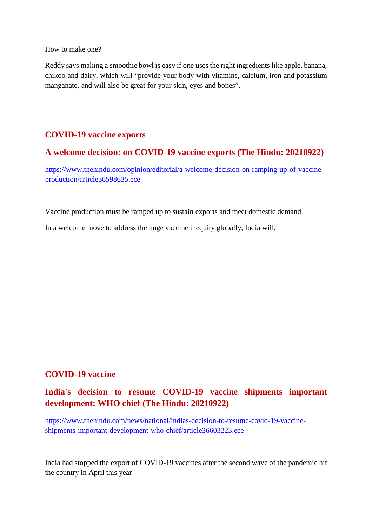How to make one?

Reddy says making a smoothie bowl is easy if one uses the right ingredients like apple, banana, chikoo and dairy, which will "provide your body with vitamins, calcium, iron and potassium manganate, and will also be great for your skin, eyes and bones".

#### **COVID-19 vaccine exports**

#### **A welcome decision: on COVID-19 vaccine exports (The Hindu: 20210922)**

https://www.thehindu.com/opinion/editorial/a-welcome-decision-on-ramping-up-of-vaccineproduction/article36598635.ece

Vaccine production must be ramped up to sustain exports and meet domestic demand

In a welcome move to address the huge vaccine inequity globally, India will,

#### **COVID-19 vaccine**

## **India's decision to resume COVID-19 vaccine shipments important development: WHO chief (The Hindu: 20210922)**

https://www.thehindu.com/news/national/indias-decision-to-resume-covid-19-vaccineshipments-important-development-who-chief/article36603223.ece

India had stopped the export of COVID-19 vaccines after the second wave of the pandemic hit the country in April this year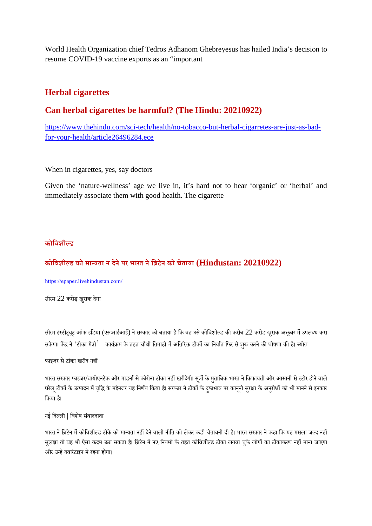World Health Organization chief Tedros Adhanom Ghebreyesus has hailed India's decision to resume COVID-19 vaccine exports as an "important

#### **Herbal cigarettes**

#### **Can herbal cigarettes be harmful? (The Hindu: 20210922)**

https://www.thehindu.com/sci-tech/health/no-tobacco-but-herbal-cigarretes-are-just-as-badfor-your-health/article26496284.ece

When in cigarettes, yes, say doctors

Given the 'nature-wellness' age we live in, it's hard not to hear 'organic' or 'herbal' and immediately associate them with good health. The cigarette

#### **कोिवशीड**

#### **कोिवशीड को मायता न देनेपर भारत नेिटेन को चेताया (Hindustan: 20210922)**

https://epaper.livehindustan.com/

सीरम 22 करोड़ खरुाक देगा

सीरम इंस्टीट्यूट ऑफ इंडिया (एसआईआई) ने सरकार को बताया है कि वह उसे कोविशील्ड की करीब 22 करोड़ खुराक अक्तूबर में उपलब्ध करा सकेगा। केंद्र ने 'टीका मैत्री ' कार्यक्रम के तहत चौथी तिमाही में अतिरिक्त टीकों का निर्यात फिर से शुरू करने की घोषणा की है। ब्योरा

फाइजर से टीका खरीद नहीं

भारत सरकार फाइजर/बायोएनटेक और माडर्ना से कोरोना टीका नहीं खरीदेगी। सूत्रों के मुताबिक भारत ने किफायती और आसानी से स्टोर होने वाले घरेलू टीकों के उत्पादन में वृद्धि के मद्देनजर यह निर्णय किया है। सरकार ने टीकों के दुष्प्रभाव पर कानूनी सुरक्षा के अनुरोधों को भी मानने से इनकार िकया ह।ै

नई िदली | िवशेष संवाददाता

भारत ने ब्रिटेन में कोविशील्ड टीके को मान्यता नहीं देने वाली नीति को लेकर कड़ी चेतावनी दी है। भारत सरकार ने कहा कि यह मसला जल्द नहीं सुलझा तो वह भी ऐसा कदम उठा सकता है। ब्रिटेन में नए नियमों के तहत कोविशील्ड टीका लगवा चुके लोगों का टीकाकरण नहीं माना जाएगा और उन्हें क्वारंटाइन में रहना होगा।